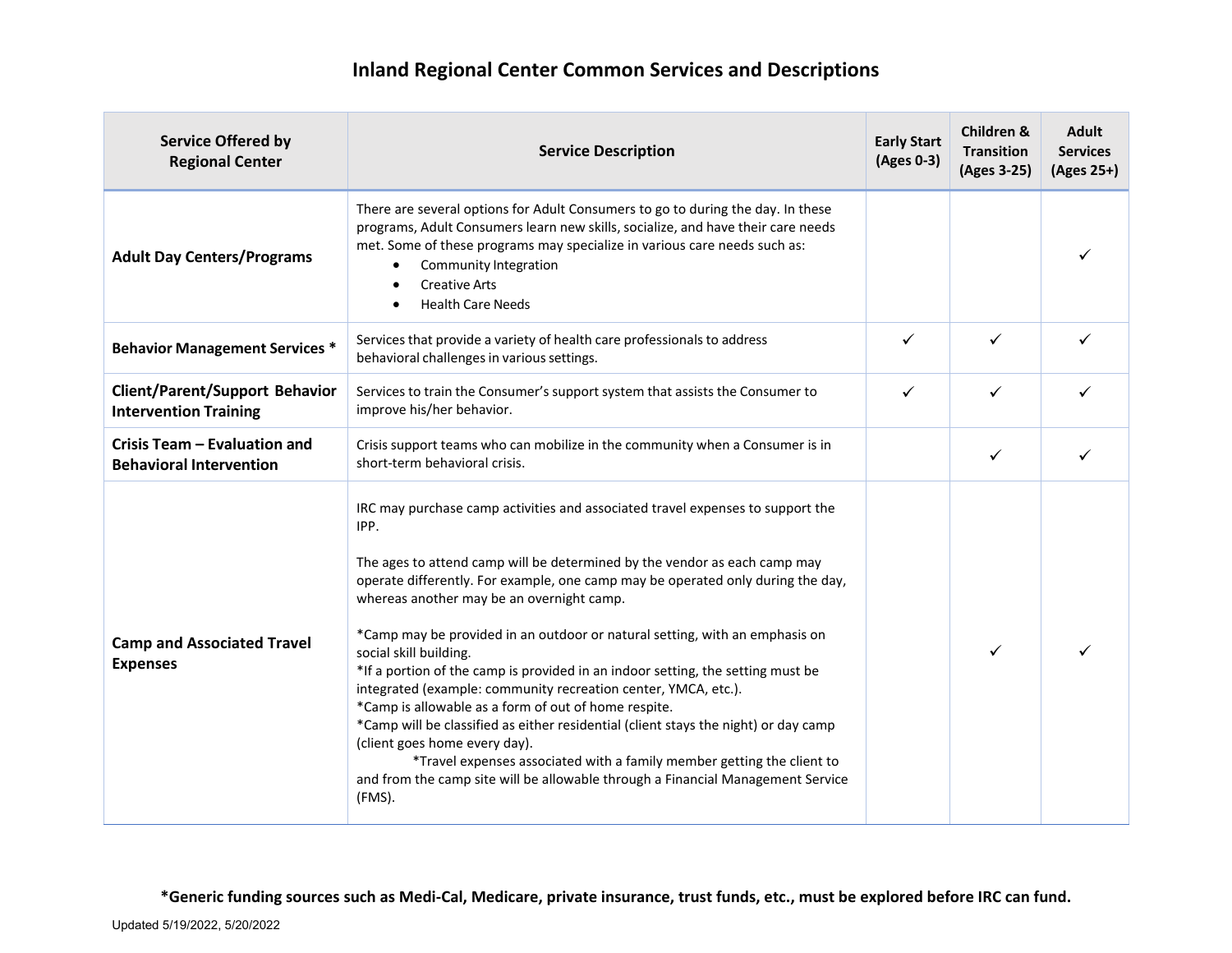| <b>Service Offered by</b><br><b>Regional Center</b>                   | <b>Service Description</b>                                                                                                                                                                                                                                                                                                                                                                                                                                                                                                                                                                                                                                                                                                                                                                                                                                                                                               | <b>Early Start</b><br>(Ages 0-3) | Children &<br><b>Transition</b><br>(Ages 3-25) | <b>Adult</b><br><b>Services</b><br>(Ages 25+) |
|-----------------------------------------------------------------------|--------------------------------------------------------------------------------------------------------------------------------------------------------------------------------------------------------------------------------------------------------------------------------------------------------------------------------------------------------------------------------------------------------------------------------------------------------------------------------------------------------------------------------------------------------------------------------------------------------------------------------------------------------------------------------------------------------------------------------------------------------------------------------------------------------------------------------------------------------------------------------------------------------------------------|----------------------------------|------------------------------------------------|-----------------------------------------------|
| <b>Adult Day Centers/Programs</b>                                     | There are several options for Adult Consumers to go to during the day. In these<br>programs, Adult Consumers learn new skills, socialize, and have their care needs<br>met. Some of these programs may specialize in various care needs such as:<br>Community Integration<br>٠<br><b>Creative Arts</b><br><b>Health Care Needs</b><br>٠                                                                                                                                                                                                                                                                                                                                                                                                                                                                                                                                                                                  |                                  |                                                |                                               |
| <b>Behavior Management Services *</b>                                 | Services that provide a variety of health care professionals to address<br>behavioral challenges in various settings.                                                                                                                                                                                                                                                                                                                                                                                                                                                                                                                                                                                                                                                                                                                                                                                                    | ✓                                | ✓                                              |                                               |
| <b>Client/Parent/Support Behavior</b><br><b>Intervention Training</b> | Services to train the Consumer's support system that assists the Consumer to<br>improve his/her behavior.                                                                                                                                                                                                                                                                                                                                                                                                                                                                                                                                                                                                                                                                                                                                                                                                                | ✓                                | ✓                                              |                                               |
| Crisis Team - Evaluation and<br><b>Behavioral Intervention</b>        | Crisis support teams who can mobilize in the community when a Consumer is in<br>short-term behavioral crisis.                                                                                                                                                                                                                                                                                                                                                                                                                                                                                                                                                                                                                                                                                                                                                                                                            |                                  | ✓                                              |                                               |
| <b>Camp and Associated Travel</b><br><b>Expenses</b>                  | IRC may purchase camp activities and associated travel expenses to support the<br>IPP.<br>The ages to attend camp will be determined by the vendor as each camp may<br>operate differently. For example, one camp may be operated only during the day,<br>whereas another may be an overnight camp.<br>*Camp may be provided in an outdoor or natural setting, with an emphasis on<br>social skill building.<br>*If a portion of the camp is provided in an indoor setting, the setting must be<br>integrated (example: community recreation center, YMCA, etc.).<br>*Camp is allowable as a form of out of home respite.<br>*Camp will be classified as either residential (client stays the night) or day camp<br>(client goes home every day).<br>*Travel expenses associated with a family member getting the client to<br>and from the camp site will be allowable through a Financial Management Service<br>(FMS). |                                  | ✓                                              |                                               |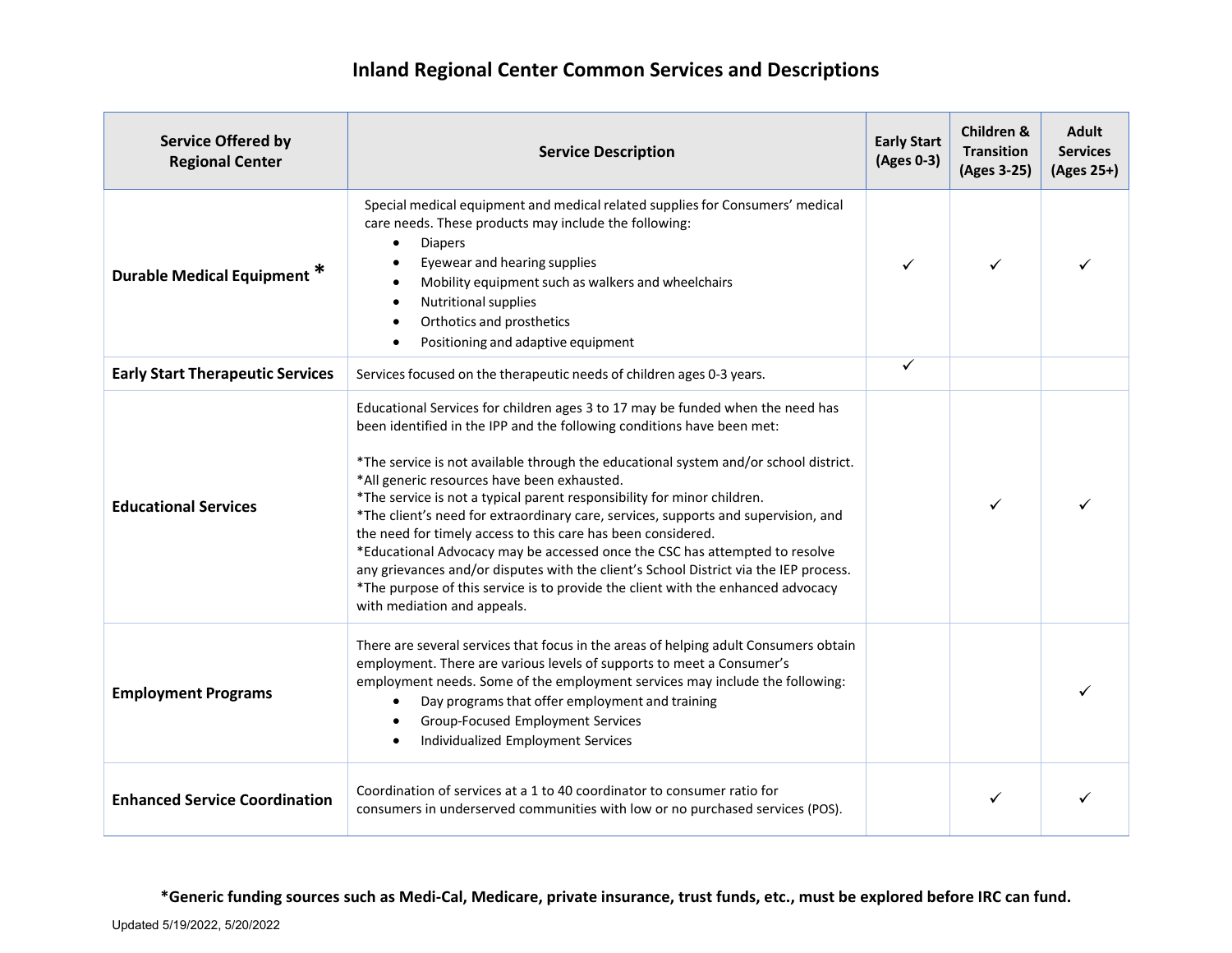| <b>Service Offered by</b><br><b>Regional Center</b> | <b>Service Description</b>                                                                                                                                                                                                                                                                                                                                                                                                                                                                                                                                                                                                                                                                                                                                                                                                  | <b>Early Start</b><br>(Ages 0-3) | <b>Children &amp;</b><br><b>Transition</b><br>(Ages 3-25) | <b>Adult</b><br><b>Services</b><br>(Ages 25+) |
|-----------------------------------------------------|-----------------------------------------------------------------------------------------------------------------------------------------------------------------------------------------------------------------------------------------------------------------------------------------------------------------------------------------------------------------------------------------------------------------------------------------------------------------------------------------------------------------------------------------------------------------------------------------------------------------------------------------------------------------------------------------------------------------------------------------------------------------------------------------------------------------------------|----------------------------------|-----------------------------------------------------------|-----------------------------------------------|
| Durable Medical Equipment <sup>*</sup>              | Special medical equipment and medical related supplies for Consumers' medical<br>care needs. These products may include the following:<br><b>Diapers</b><br>Eyewear and hearing supplies<br>Mobility equipment such as walkers and wheelchairs<br>$\bullet$<br>Nutritional supplies<br>$\bullet$<br>Orthotics and prosthetics<br>$\bullet$<br>Positioning and adaptive equipment                                                                                                                                                                                                                                                                                                                                                                                                                                            |                                  | ✓                                                         |                                               |
| <b>Early Start Therapeutic Services</b>             | Services focused on the therapeutic needs of children ages 0-3 years.                                                                                                                                                                                                                                                                                                                                                                                                                                                                                                                                                                                                                                                                                                                                                       | ✓                                |                                                           |                                               |
| <b>Educational Services</b>                         | Educational Services for children ages 3 to 17 may be funded when the need has<br>been identified in the IPP and the following conditions have been met:<br>*The service is not available through the educational system and/or school district.<br>*All generic resources have been exhausted.<br>*The service is not a typical parent responsibility for minor children.<br>*The client's need for extraordinary care, services, supports and supervision, and<br>the need for timely access to this care has been considered.<br>*Educational Advocacy may be accessed once the CSC has attempted to resolve<br>any grievances and/or disputes with the client's School District via the IEP process.<br>*The purpose of this service is to provide the client with the enhanced advocacy<br>with mediation and appeals. |                                  | ✓                                                         |                                               |
| <b>Employment Programs</b>                          | There are several services that focus in the areas of helping adult Consumers obtain<br>employment. There are various levels of supports to meet a Consumer's<br>employment needs. Some of the employment services may include the following:<br>Day programs that offer employment and training<br>Group-Focused Employment Services<br>Individualized Employment Services                                                                                                                                                                                                                                                                                                                                                                                                                                                 |                                  |                                                           |                                               |
| <b>Enhanced Service Coordination</b>                | Coordination of services at a 1 to 40 coordinator to consumer ratio for<br>consumers in underserved communities with low or no purchased services (POS).                                                                                                                                                                                                                                                                                                                                                                                                                                                                                                                                                                                                                                                                    |                                  |                                                           |                                               |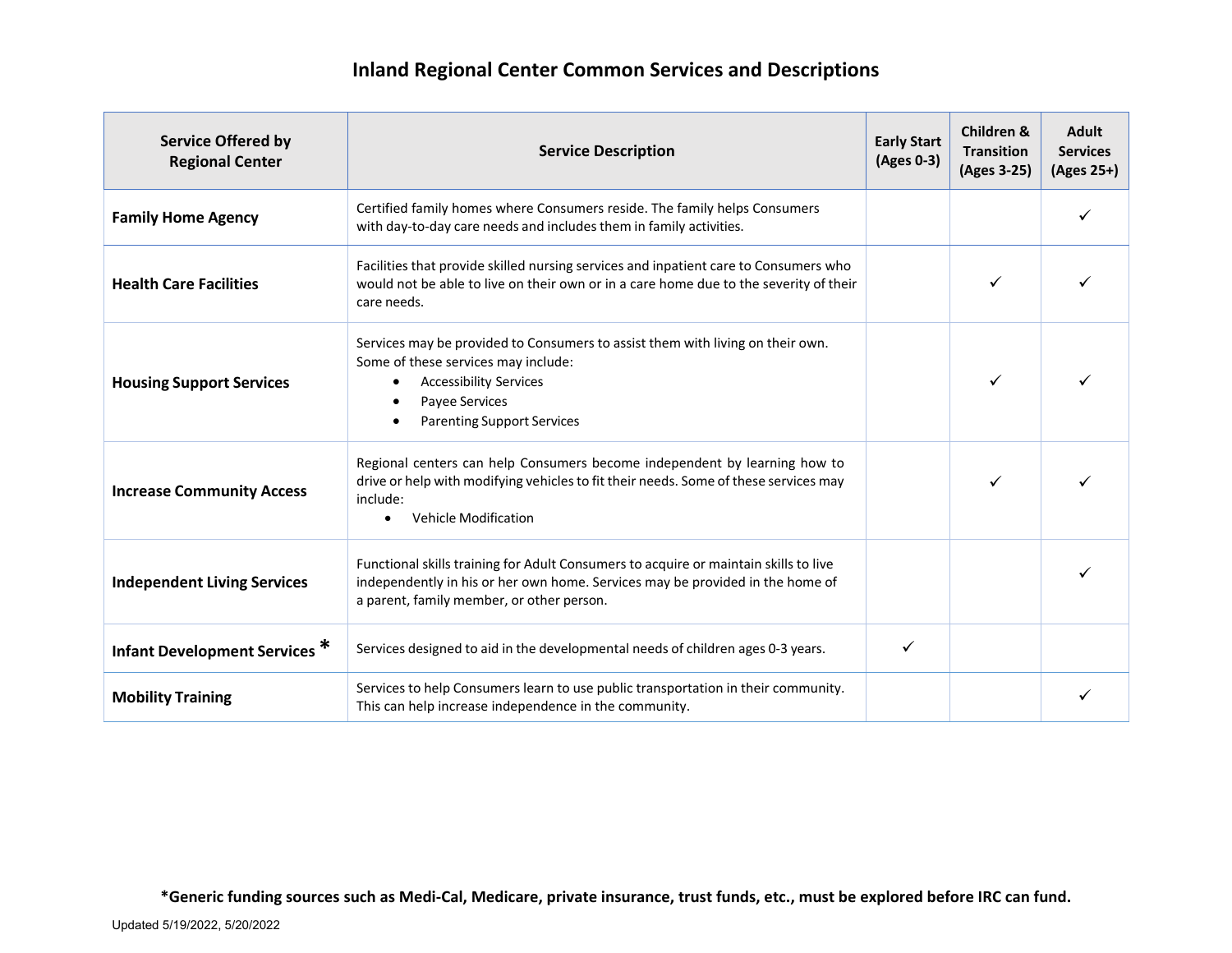| <b>Service Offered by</b><br><b>Regional Center</b> | <b>Service Description</b>                                                                                                                                                                                                 | <b>Early Start</b><br>(Ages 0-3) | <b>Children &amp;</b><br><b>Transition</b><br>(Ages 3-25) | <b>Adult</b><br><b>Services</b><br>(Ages 25+) |
|-----------------------------------------------------|----------------------------------------------------------------------------------------------------------------------------------------------------------------------------------------------------------------------------|----------------------------------|-----------------------------------------------------------|-----------------------------------------------|
| <b>Family Home Agency</b>                           | Certified family homes where Consumers reside. The family helps Consumers<br>with day-to-day care needs and includes them in family activities.                                                                            |                                  |                                                           |                                               |
| <b>Health Care Facilities</b>                       | Facilities that provide skilled nursing services and inpatient care to Consumers who<br>would not be able to live on their own or in a care home due to the severity of their<br>care needs.                               |                                  | ✓                                                         |                                               |
| <b>Housing Support Services</b>                     | Services may be provided to Consumers to assist them with living on their own.<br>Some of these services may include:<br><b>Accessibility Services</b><br>$\bullet$<br>Payee Services<br><b>Parenting Support Services</b> |                                  | ✓                                                         |                                               |
| <b>Increase Community Access</b>                    | Regional centers can help Consumers become independent by learning how to<br>drive or help with modifying vehicles to fit their needs. Some of these services may<br>include:<br><b>Vehicle Modification</b>               |                                  | ✓                                                         |                                               |
| <b>Independent Living Services</b>                  | Functional skills training for Adult Consumers to acquire or maintain skills to live<br>independently in his or her own home. Services may be provided in the home of<br>a parent, family member, or other person.         |                                  |                                                           |                                               |
| Infant Development Services <sup>*</sup>            | Services designed to aid in the developmental needs of children ages 0-3 years.                                                                                                                                            | ✓                                |                                                           |                                               |
| <b>Mobility Training</b>                            | Services to help Consumers learn to use public transportation in their community.<br>This can help increase independence in the community.                                                                                 |                                  |                                                           |                                               |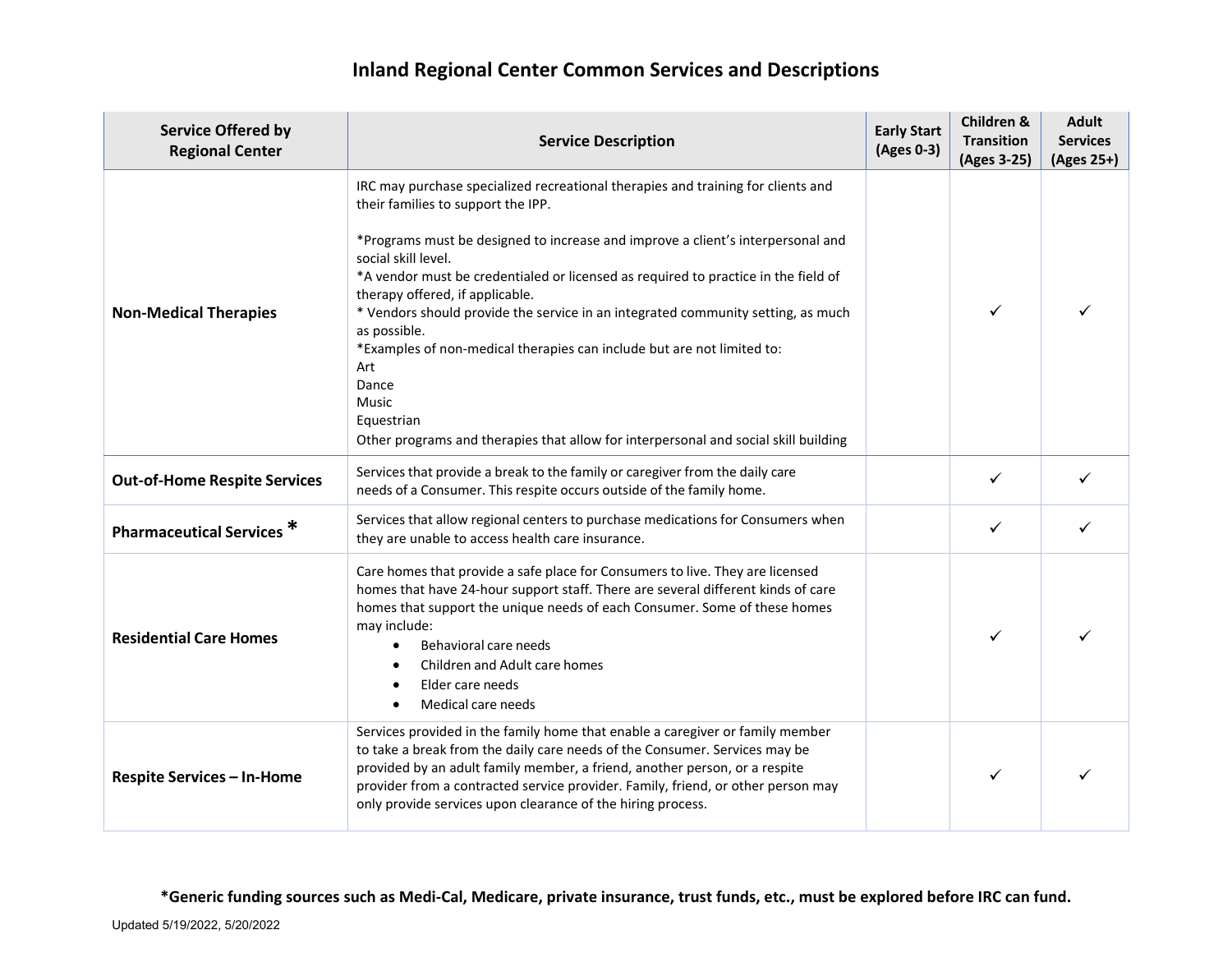## **Inland Regional Center Common Services and Descriptions**

| <b>Service Offered by</b><br><b>Regional Center</b> | <b>Service Description</b>                                                                                                                                                                                                                                                                                                                                                                                                                                                                                                                                                                                                                                            | <b>Early Start</b><br>(Ages 0-3) | Children &<br><b>Transition</b><br>(Ages 3-25) | <b>Adult</b><br><b>Services</b><br>(Ages 25+) |
|-----------------------------------------------------|-----------------------------------------------------------------------------------------------------------------------------------------------------------------------------------------------------------------------------------------------------------------------------------------------------------------------------------------------------------------------------------------------------------------------------------------------------------------------------------------------------------------------------------------------------------------------------------------------------------------------------------------------------------------------|----------------------------------|------------------------------------------------|-----------------------------------------------|
| <b>Non-Medical Therapies</b>                        | IRC may purchase specialized recreational therapies and training for clients and<br>their families to support the IPP.<br>*Programs must be designed to increase and improve a client's interpersonal and<br>social skill level.<br>*A vendor must be credentialed or licensed as required to practice in the field of<br>therapy offered, if applicable.<br>* Vendors should provide the service in an integrated community setting, as much<br>as possible.<br>*Examples of non-medical therapies can include but are not limited to:<br>Art<br>Dance<br>Music<br>Equestrian<br>Other programs and therapies that allow for interpersonal and social skill building |                                  | ✓                                              | ✓                                             |
| <b>Out-of-Home Respite Services</b>                 | Services that provide a break to the family or caregiver from the daily care<br>needs of a Consumer. This respite occurs outside of the family home.                                                                                                                                                                                                                                                                                                                                                                                                                                                                                                                  |                                  | ✓                                              |                                               |
| <b>Pharmaceutical Services *</b>                    | Services that allow regional centers to purchase medications for Consumers when<br>they are unable to access health care insurance.                                                                                                                                                                                                                                                                                                                                                                                                                                                                                                                                   |                                  | ✓                                              |                                               |
| <b>Residential Care Homes</b>                       | Care homes that provide a safe place for Consumers to live. They are licensed<br>homes that have 24-hour support staff. There are several different kinds of care<br>homes that support the unique needs of each Consumer. Some of these homes<br>may include:<br>Behavioral care needs<br>Children and Adult care homes<br>Elder care needs<br>Medical care needs<br>$\bullet$                                                                                                                                                                                                                                                                                       |                                  | ✓                                              | ✓                                             |
| <b>Respite Services - In-Home</b>                   | Services provided in the family home that enable a caregiver or family member<br>to take a break from the daily care needs of the Consumer. Services may be<br>provided by an adult family member, a friend, another person, or a respite<br>provider from a contracted service provider. Family, friend, or other person may<br>only provide services upon clearance of the hiring process.                                                                                                                                                                                                                                                                          |                                  | ✓                                              |                                               |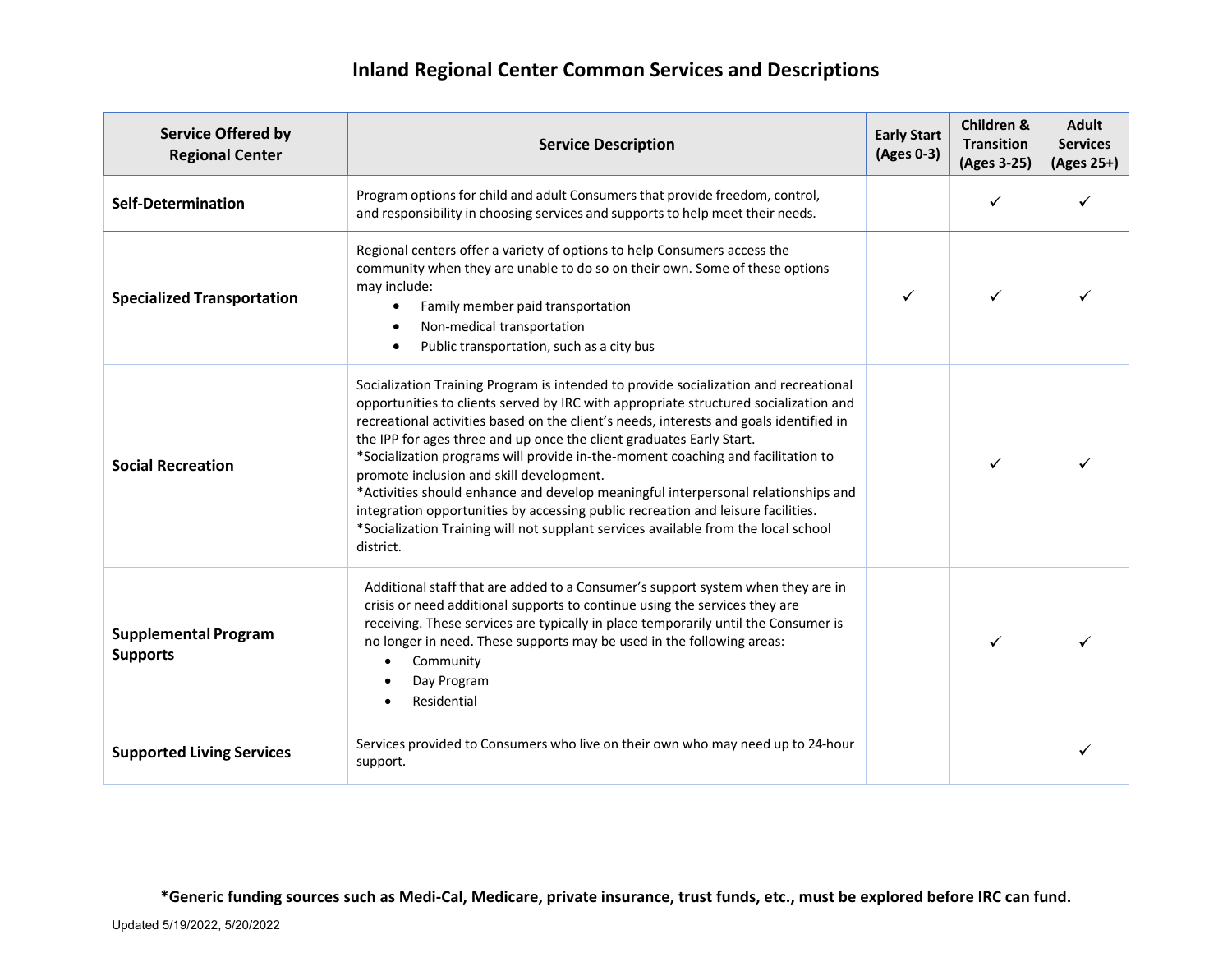## **Inland Regional Center Common Services and Descriptions**

| <b>Service Offered by</b><br><b>Regional Center</b> | <b>Service Description</b>                                                                                                                                                                                                                                                                                                                                                                                                                                                                                                                                                                                                                                                                                                                                | <b>Early Start</b><br>(Ages 0-3) | Children &<br><b>Transition</b><br>(Ages 3-25) | <b>Adult</b><br><b>Services</b><br>(Ages 25+) |
|-----------------------------------------------------|-----------------------------------------------------------------------------------------------------------------------------------------------------------------------------------------------------------------------------------------------------------------------------------------------------------------------------------------------------------------------------------------------------------------------------------------------------------------------------------------------------------------------------------------------------------------------------------------------------------------------------------------------------------------------------------------------------------------------------------------------------------|----------------------------------|------------------------------------------------|-----------------------------------------------|
| <b>Self-Determination</b>                           | Program options for child and adult Consumers that provide freedom, control,<br>and responsibility in choosing services and supports to help meet their needs.                                                                                                                                                                                                                                                                                                                                                                                                                                                                                                                                                                                            |                                  | ✓                                              |                                               |
| <b>Specialized Transportation</b>                   | Regional centers offer a variety of options to help Consumers access the<br>community when they are unable to do so on their own. Some of these options<br>may include:<br>Family member paid transportation<br>$\bullet$<br>Non-medical transportation<br>$\bullet$<br>Public transportation, such as a city bus                                                                                                                                                                                                                                                                                                                                                                                                                                         |                                  | ✓                                              |                                               |
| <b>Social Recreation</b>                            | Socialization Training Program is intended to provide socialization and recreational<br>opportunities to clients served by IRC with appropriate structured socialization and<br>recreational activities based on the client's needs, interests and goals identified in<br>the IPP for ages three and up once the client graduates Early Start.<br>*Socialization programs will provide in-the-moment coaching and facilitation to<br>promote inclusion and skill development.<br>*Activities should enhance and develop meaningful interpersonal relationships and<br>integration opportunities by accessing public recreation and leisure facilities.<br>*Socialization Training will not supplant services available from the local school<br>district. |                                  | ✓                                              |                                               |
| <b>Supplemental Program</b><br><b>Supports</b>      | Additional staff that are added to a Consumer's support system when they are in<br>crisis or need additional supports to continue using the services they are<br>receiving. These services are typically in place temporarily until the Consumer is<br>no longer in need. These supports may be used in the following areas:<br>Community<br>Day Program<br>Residential                                                                                                                                                                                                                                                                                                                                                                                   |                                  | ✓                                              |                                               |
| <b>Supported Living Services</b>                    | Services provided to Consumers who live on their own who may need up to 24-hour<br>support.                                                                                                                                                                                                                                                                                                                                                                                                                                                                                                                                                                                                                                                               |                                  |                                                |                                               |